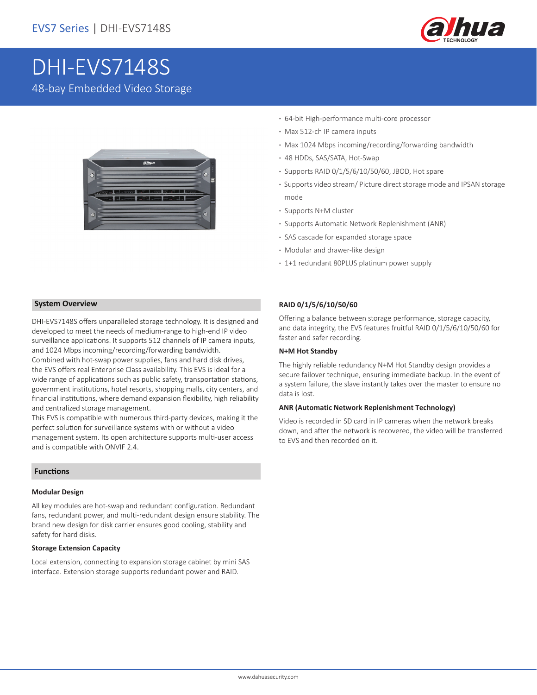

# DHI-EVS7148S 48-bay Embedded Video Storage



- **·** 64-bit High-performance multi-core processor
- **·** Max 512-ch IP camera inputs
- **·** Max 1024 Mbps incoming/recording/forwarding bandwidth
- **·** 48 HDDs, SAS/SATA, Hot-Swap
- **·** Supports RAID 0/1/5/6/10/50/60, JBOD, Hot spare
- **·** Supports video stream/ Picture direct storage mode and IPSAN storage mode
- **·** Supports N+M cluster
- **·** Supports Automatic Network Replenishment (ANR)
- **·** SAS cascade for expanded storage space
- **·** Modular and drawer-like design
- **·** 1+1 redundant 80PLUS platinum power supply

### **System Overview**

DHI-EVS7148S offers unparalleled storage technology. It is designed and developed to meet the needs of medium-range to high-end IP video surveillance applications. It supports 512 channels of IP camera inputs, and 1024 Mbps incoming/recording/forwarding bandwidth.

Combined with hot-swap power supplies, fans and hard disk drives, the EVS offers real Enterprise Class availability. This EVS is ideal for a wide range of applications such as public safety, transportation stations, government institutions, hotel resorts, shopping malls, city centers, and financial institutions, where demand expansion flexibility, high reliability and centralized storage management.

This EVS is compatible with numerous third-party devices, making it the perfect solution for surveillance systems with or without a video management system. Its open architecture supports multi-user access and is compatible with ONVIF 2.4.

### **Functions**

### **Modular Design**

All key modules are hot-swap and redundant configuration. Redundant fans, redundant power, and multi-redundant design ensure stability. The brand new design for disk carrier ensures good cooling, stability and safety for hard disks.

### **Storage Extension Capacity**

Local extension, connecting to expansion storage cabinet by mini SAS interface. Extension storage supports redundant power and RAID.

### **RAID 0/1/5/6/10/50/60**

Offering a balance between storage performance, storage capacity, and data integrity, the EVS features fruitful RAID 0/1/5/6/10/50/60 for faster and safer recording.

### **N+M Hot Standby**

The highly reliable redundancy N+M Hot Standby design provides a secure failover technique, ensuring immediate backup. In the event of a system failure, the slave instantly takes over the master to ensure no data is lost.

#### **ANR (Automatic Network Replenishment Technology)**

Video is recorded in SD card in IP cameras when the network breaks down, and after the network is recovered, the video will be transferred to EVS and then recorded on it.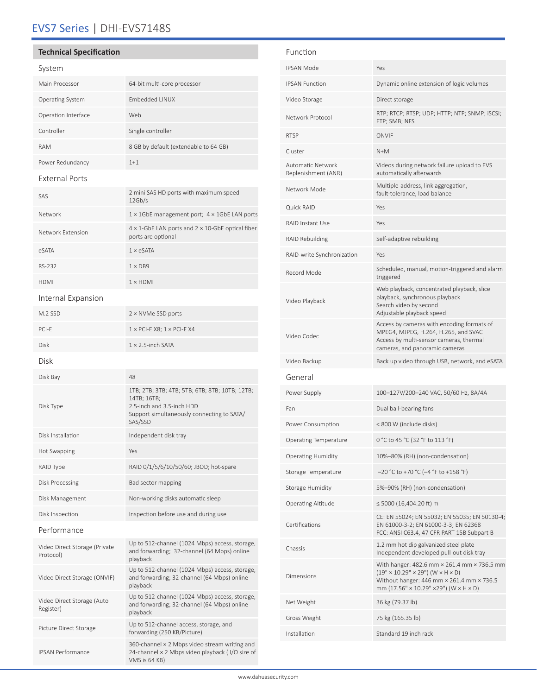# EVS7 Series | DHI-EVS7148S

## **Technical Specification**

### System

| Main Processor          | 64-bit multi-core processor            |
|-------------------------|----------------------------------------|
| <b>Operating System</b> | <b>Embedded LINUX</b>                  |
| Operation Interface     | Web                                    |
| Controller              | Single controller                      |
| <b>RAM</b>              | 8 GB by default (extendable to 64 GB)  |
| Power Redundancy        | $1 + 1$                                |
| <b>External Ports</b>   |                                        |
| $C^{\wedge}$            | 2 mini SAS HD ports with maximum speed |

| SAS.              | 12Gb/s                                                                                 |
|-------------------|----------------------------------------------------------------------------------------|
| Network           | $1 \times 1$ GbE management port; $4 \times 1$ GbE LAN ports                           |
| Network Extension | $4 \times 1$ -GbE LAN ports and $2 \times 10$ -GbE optical fiber<br>ports are optional |
| eSATA             | $1 \times e$ SATA                                                                      |
| RS-232            | $1 \times DB9$                                                                         |

# Internal Expansion

HDMI 1 × HDMI

| M.2 SSD                                    | 2 × NVMe SSD ports                                                                                                                                  |  |  |  |
|--------------------------------------------|-----------------------------------------------------------------------------------------------------------------------------------------------------|--|--|--|
| PCI-F                                      | $1 \times$ PCI-E X8; $1 \times$ PCI-E X4                                                                                                            |  |  |  |
| <b>Disk</b>                                | $1 \times 2.5$ -inch SATA                                                                                                                           |  |  |  |
| Disk                                       |                                                                                                                                                     |  |  |  |
| Disk Bay                                   | 48                                                                                                                                                  |  |  |  |
| Disk Type                                  | 1TB; 2TB; 3TB; 4TB; 5TB; 6TB; 8TB; 10TB; 12TB;<br>14TB; 16TB;<br>2.5-inch and 3.5-inch HDD<br>Support simultaneously connecting to SATA/<br>SAS/SSD |  |  |  |
| Disk Installation                          | Independent disk tray                                                                                                                               |  |  |  |
| <b>Hot Swapping</b>                        | Yes                                                                                                                                                 |  |  |  |
| RAID Type                                  | RAID 0/1/5/6/10/50/60; JBOD; hot-spare                                                                                                              |  |  |  |
| Disk Processing                            | Bad sector mapping                                                                                                                                  |  |  |  |
| Disk Management                            | Non-working disks automatic sleep                                                                                                                   |  |  |  |
| Disk Inspection                            | Inspection before use and during use                                                                                                                |  |  |  |
| Performance                                |                                                                                                                                                     |  |  |  |
| Video Direct Storage (Private<br>Protocol) | Up to 512-channel (1024 Mbps) access, storage,<br>and forwarding; 32-channel (64 Mbps) online<br>playback                                           |  |  |  |
| Video Direct Storage (ONVIF)               | Up to 512-channel (1024 Mbps) access, storage,<br>and forwarding; 32-channel (64 Mbps) online<br>playback                                           |  |  |  |
| Video Direct Storage (Auto<br>Register)    | Up to 512-channel (1024 Mbps) access, storage,<br>and forwarding; 32-channel (64 Mbps) online<br>playback                                           |  |  |  |
| Picture Direct Storage                     | Up to 512-channel access, storage, and<br>forwarding (250 KB/Picture)                                                                               |  |  |  |
| <b>IPSAN Performance</b>                   | 360-channel $\times$ 2 Mbps video stream writing and<br>24-channel × 2 Mbps video playback (I/O size of<br>VMS is 64 KB)                            |  |  |  |

| Function                                        |                                                                                                                                                                                                  |  |
|-------------------------------------------------|--------------------------------------------------------------------------------------------------------------------------------------------------------------------------------------------------|--|
| <b>IPSAN Mode</b>                               | Yes                                                                                                                                                                                              |  |
| <b>IPSAN Function</b>                           | Dynamic online extension of logic volumes                                                                                                                                                        |  |
| Video Storage                                   | Direct storage                                                                                                                                                                                   |  |
| Network Protocol                                | RTP; RTCP; RTSP; UDP; HTTP; NTP; SNMP; iSCSI;<br>FTP; SMB; NFS                                                                                                                                   |  |
| <b>RTSP</b>                                     | <b>ONVIF</b>                                                                                                                                                                                     |  |
| Cluster                                         | $N+M$                                                                                                                                                                                            |  |
| <b>Automatic Network</b><br>Replenishment (ANR) | Videos during network failure upload to EVS<br>automatically afterwards                                                                                                                          |  |
| Network Mode                                    | Multiple-address, link aggregation,<br>fault-tolerance, load balance                                                                                                                             |  |
| Quick RAID                                      | Yes                                                                                                                                                                                              |  |
| <b>RAID Instant Use</b>                         | Yes                                                                                                                                                                                              |  |
| RAID Rebuilding                                 | Self-adaptive rebuilding                                                                                                                                                                         |  |
| RAID-write Synchronization                      | Yes                                                                                                                                                                                              |  |
| Record Mode                                     | Scheduled, manual, motion-triggered and alarm<br>triggered                                                                                                                                       |  |
| Video Playback                                  | Web playback, concentrated playback, slice<br>playback, synchronous playback<br>Search video by second<br>Adjustable playback speed                                                              |  |
| Video Codec                                     | Access by cameras with encoding formats of<br>MPEG4, MJPEG, H.264, H.265, and SVAC<br>Access by multi-sensor cameras, thermal<br>cameras, and panoramic cameras                                  |  |
| Video Backup                                    | Back up video through USB, network, and eSATA                                                                                                                                                    |  |
| General                                         |                                                                                                                                                                                                  |  |
| Power Supply                                    | 100-127V/200-240 VAC, 50/60 Hz, 8A/4A                                                                                                                                                            |  |
| Fan                                             | Dual ball-bearing fans                                                                                                                                                                           |  |
| Power Consumption                               | < 800 W (include disks)                                                                                                                                                                          |  |
| Operating Temperature                           | 0 °C to 45 °C (32 °F to 113 °F)                                                                                                                                                                  |  |
| <b>Operating Humidity</b>                       | 10%-80% (RH) (non-condensation)                                                                                                                                                                  |  |
| Storage Temperature                             | $-20$ °C to +70 °C (-4 °F to +158 °F)                                                                                                                                                            |  |
| <b>Storage Humidity</b>                         | 5%-90% (RH) (non-condensation)                                                                                                                                                                   |  |
| Operating Altitude                              | ≤ 5000 (16,404.20 ft) m                                                                                                                                                                          |  |
| Certifications                                  | CE: EN 55024; EN 55032; EN 55035; EN 50130-4;<br>EN 61000-3-2; EN 61000-3-3; EN 62368<br>FCC: ANSI C63.4, 47 CFR PART 15B Subpart B                                                              |  |
| Chassis                                         | 1.2 mm hot dip galvanized steel plate<br>Independent developed pull-out disk tray                                                                                                                |  |
| Dimensions                                      | With hanger: 482.6 mm × 261.4 mm × 736.5 mm<br>$(19" \times 10.29" \times 29")$ (W $\times$ H $\times$ D)<br>Without hanger: 446 mm × 261.4 mm × 736.5<br>mm (17.56" × 10.29" × 29") (W × H × D) |  |
| Net Weight                                      | 36 kg (79.37 lb)                                                                                                                                                                                 |  |
| Gross Weight                                    | 75 kg (165.35 lb)                                                                                                                                                                                |  |
| Installation                                    | Standard 19 inch rack                                                                                                                                                                            |  |